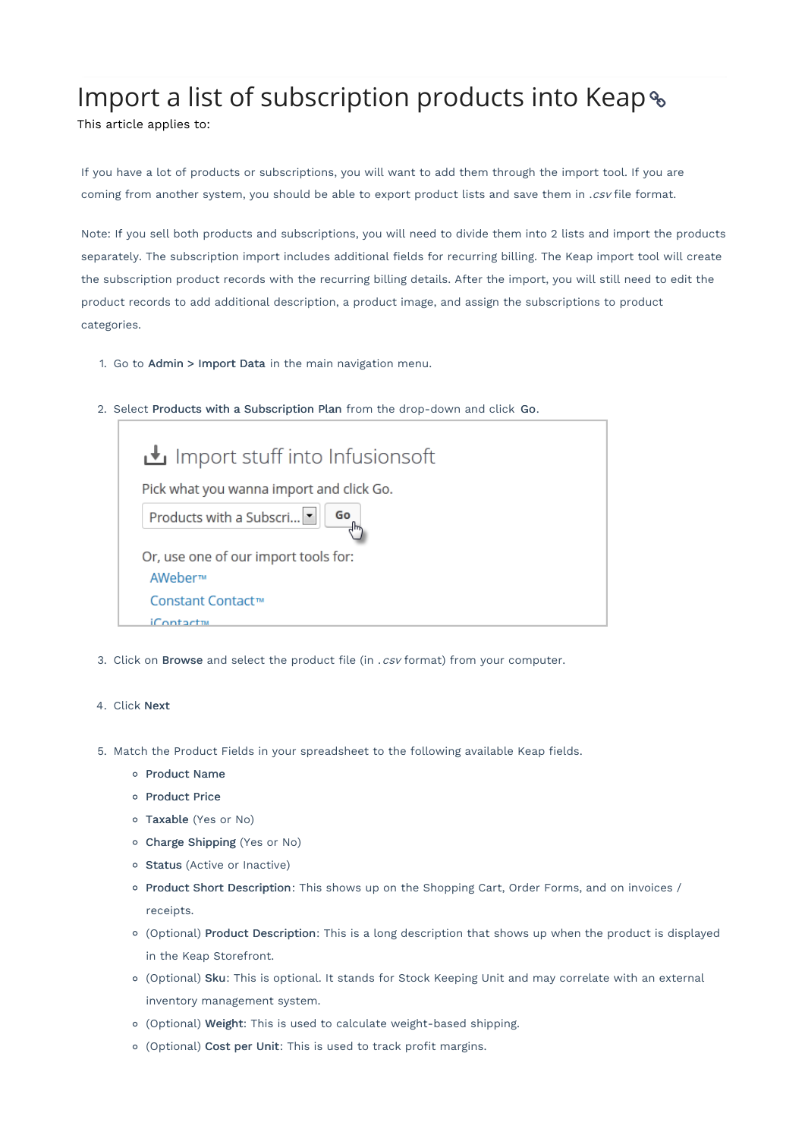## Import a list of subscription products into Keap &

This article applies to:

If you have a lot of products or subscriptions, you will want to add them through the import tool. If you are coming from another system, you should be able to export product lists and save them in .csv file format.

Note: If you sell both products and subscriptions, you will need to divide them into 2 lists and import the products separately. The subscription import includes additional fields for recurring billing. The Keap import tool will create the subscription product records with the recurring billing details. After the import, you will still need to edit the product records to add additional description, a product image, and assign the subscriptions to product categories.

- 1. Go to Admin > Import Data in the main navigation menu.
- 2. Select Products with a Subscription Plan from the drop-down and click Go.

| Import stuff into Infusionsoft           |
|------------------------------------------|
| Pick what you wanna import and click Go. |
| Products with a Subscri<br>Go            |
| Or, use one of our import tools for:     |
| AWeber™                                  |
| Constant Contact™                        |
| $i$ Contact $m$                          |

3. Click on Browse and select the product file (in  $.csv$  format) from your computer.

## 4. Click Next

- 5. Match the Product Fields in your spreadsheet to the following available Keap fields.
	- o Product Name
	- o Product Price
	- Taxable (Yes or No)
	- Charge Shipping (Yes or No)
	- o Status (Active or Inactive)
	- o Product Short Description: This shows up on the Shopping Cart, Order Forms, and on invoices / receipts.
	- (Optional) Product Description: This is a long description that shows up when the product is displayed in the Keap Storefront.
	- (Optional) Sku: This is optional. It stands for Stock Keeping Unit and may correlate with an external inventory management system.
	- (Optional) Weight: This is used to calculate weight-based shipping.
	- (Optional) Cost per Unit: This is used to track profit margins.